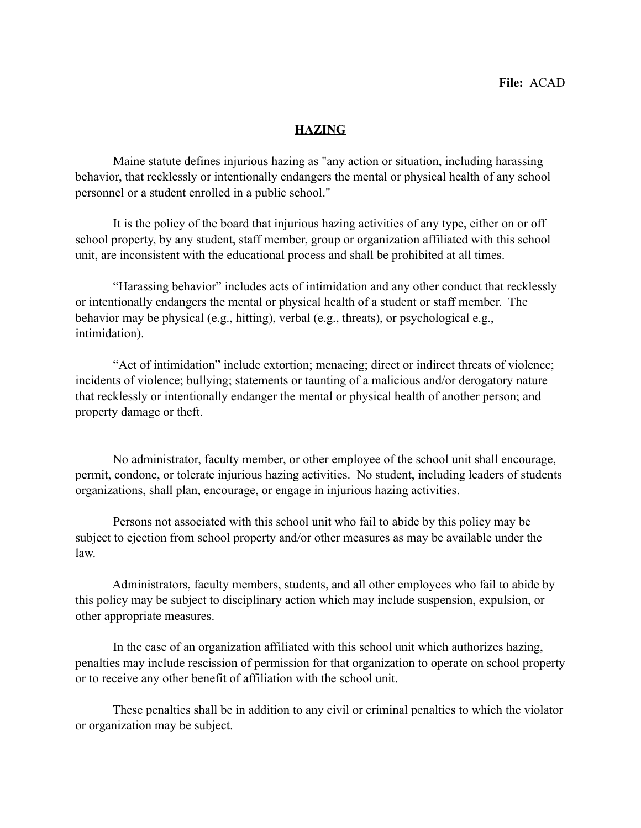## **HAZING**

 Maine statute defines injurious hazing as "any action or situation, including harassing behavior, that recklessly or intentionally endangers the mental or physical health of any school personnel or a student enrolled in a public school."

 It is the policy of the board that injurious hazing activities of any type, either on or off school property, by any student, staff member, group or organization affiliated with this school unit, are inconsistent with the educational process and shall be prohibited at all times.

 "Harassing behavior" includes acts of intimidation and any other conduct that recklessly or intentionally endangers the mental or physical health of a student or staff member. The behavior may be physical (e.g., hitting), verbal (e.g., threats), or psychological e.g., intimidation).

 "Act of intimidation" include extortion; menacing; direct or indirect threats of violence; incidents of violence; bullying; statements or taunting of a malicious and/or derogatory nature that recklessly or intentionally endanger the mental or physical health of another person; and property damage or theft.

 No administrator, faculty member, or other employee of the school unit shall encourage, permit, condone, or tolerate injurious hazing activities. No student, including leaders of students organizations, shall plan, encourage, or engage in injurious hazing activities.

 Persons not associated with this school unit who fail to abide by this policy may be subject to ejection from school property and/or other measures as may be available under the law.

 Administrators, faculty members, students, and all other employees who fail to abide by this policy may be subject to disciplinary action which may include suspension, expulsion, or other appropriate measures.

 In the case of an organization affiliated with this school unit which authorizes hazing, penalties may include rescission of permission for that organization to operate on school property or to receive any other benefit of affiliation with the school unit.

 These penalties shall be in addition to any civil or criminal penalties to which the violator or organization may be subject.